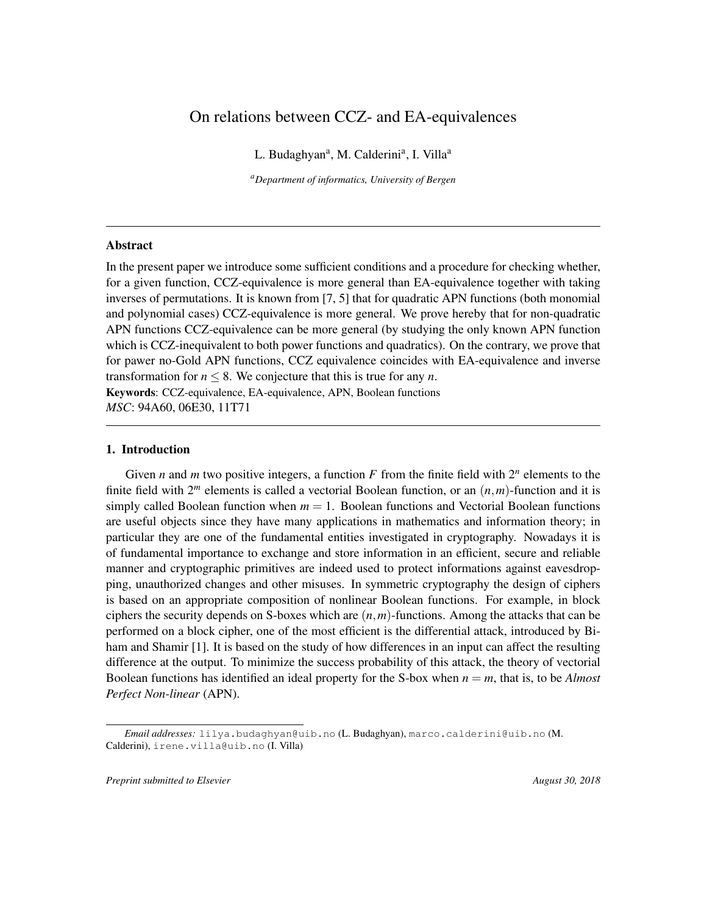# On relations between CCZ- and EA-equivalences

L. Budaghyan<sup>a</sup>, M. Calderini<sup>a</sup>, I. Villa<sup>a</sup>

*<sup>a</sup>Department of informatics, University of Bergen*

#### Abstract

In the present paper we introduce some sufficient conditions and a procedure for checking whether, for a given function, CCZ-equivalence is more general than EA-equivalence together with taking inverses of permutations. It is known from [7, 5] that for quadratic APN functions (both monomial and polynomial cases) CCZ-equivalence is more general. We prove hereby that for non-quadratic APN functions CCZ-equivalence can be more general (by studying the only known APN function which is CCZ-inequivalent to both power functions and quadratics). On the contrary, we prove that for pawer no-Gold APN functions, CCZ equivalence coincides with EA-equivalence and inverse transformation for  $n \leq 8$ . We conjecture that this is true for any *n*. Keywords: CCZ-equivalence, EA-equivalence, APN, Boolean functions *MSC*: 94A60, 06E30, 11T71

### 1. Introduction

Given *n* and *m* two positive integers, a function  $F$  from the finite field with  $2^n$  elements to the finite field with  $2^m$  elements is called a vectorial Boolean function, or an  $(n,m)$ -function and it is simply called Boolean function when  $m = 1$ . Boolean functions and Vectorial Boolean functions are useful objects since they have many applications in mathematics and information theory; in particular they are one of the fundamental entities investigated in cryptography. Nowadays it is of fundamental importance to exchange and store information in an efficient, secure and reliable manner and cryptographic primitives are indeed used to protect informations against eavesdropping, unauthorized changes and other misuses. In symmetric cryptography the design of ciphers is based on an appropriate composition of nonlinear Boolean functions. For example, in block ciphers the security depends on S-boxes which are (*n*,*m*)-functions. Among the attacks that can be performed on a block cipher, one of the most efficient is the differential attack, introduced by Biham and Shamir [1]. It is based on the study of how differences in an input can affect the resulting difference at the output. To minimize the success probability of this attack, the theory of vectorial Boolean functions has identified an ideal property for the S-box when *n* = *m*, that is, to be *Almost Perfect Non-linear* (APN).

*Preprint submitted to Elsevier* August 30, 2018

*Email addresses:* lilya.budaghyan@uib.no (L. Budaghyan), marco.calderini@uib.no (M. Calderini), irene.villa@uib.no (I. Villa)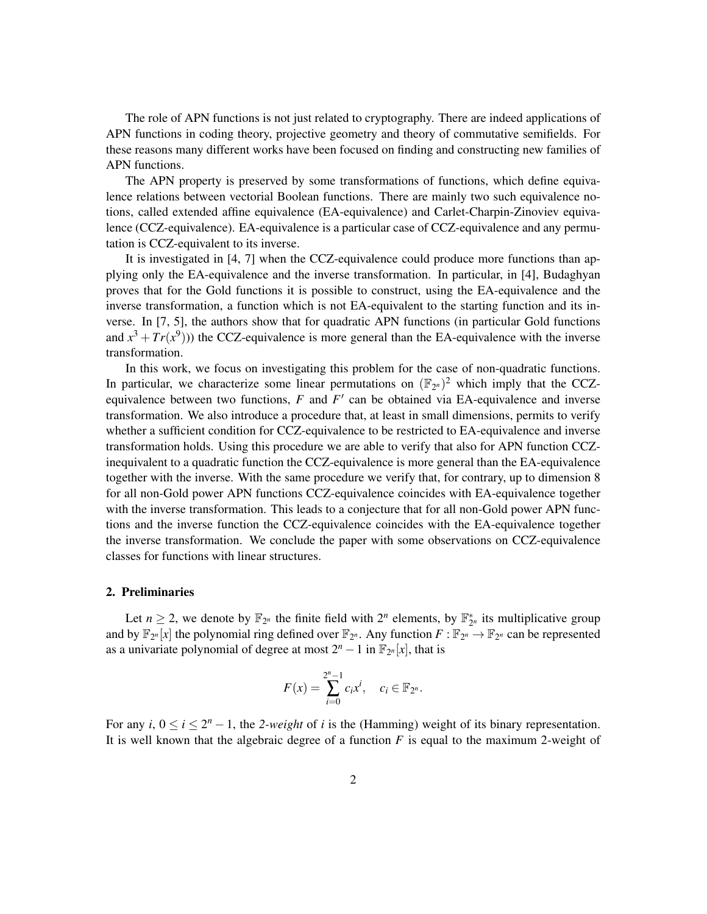The role of APN functions is not just related to cryptography. There are indeed applications of APN functions in coding theory, projective geometry and theory of commutative semifields. For these reasons many different works have been focused on finding and constructing new families of APN functions.

The APN property is preserved by some transformations of functions, which define equivalence relations between vectorial Boolean functions. There are mainly two such equivalence notions, called extended affine equivalence (EA-equivalence) and Carlet-Charpin-Zinoviev equivalence (CCZ-equivalence). EA-equivalence is a particular case of CCZ-equivalence and any permutation is CCZ-equivalent to its inverse.

It is investigated in [4, 7] when the CCZ-equivalence could produce more functions than applying only the EA-equivalence and the inverse transformation. In particular, in [4], Budaghyan proves that for the Gold functions it is possible to construct, using the EA-equivalence and the inverse transformation, a function which is not EA-equivalent to the starting function and its inverse. In [7, 5], the authors show that for quadratic APN functions (in particular Gold functions and  $x^3 + Tr(x^9)$ )) the CCZ-equivalence is more general than the EA-equivalence with the inverse transformation.

In this work, we focus on investigating this problem for the case of non-quadratic functions. In particular, we characterize some linear permutations on  $(\mathbb{F}_{2^n})^2$  which imply that the CCZequivalence between two functions,  $F$  and  $F'$  can be obtained via EA-equivalence and inverse transformation. We also introduce a procedure that, at least in small dimensions, permits to verify whether a sufficient condition for CCZ-equivalence to be restricted to EA-equivalence and inverse transformation holds. Using this procedure we are able to verify that also for APN function CCZinequivalent to a quadratic function the CCZ-equivalence is more general than the EA-equivalence together with the inverse. With the same procedure we verify that, for contrary, up to dimension 8 for all non-Gold power APN functions CCZ-equivalence coincides with EA-equivalence together with the inverse transformation. This leads to a conjecture that for all non-Gold power APN functions and the inverse function the CCZ-equivalence coincides with the EA-equivalence together the inverse transformation. We conclude the paper with some observations on CCZ-equivalence classes for functions with linear structures.

## 2. Preliminaries

Let  $n \geq 2$ , we denote by  $\mathbb{F}_{2^n}$  the finite field with  $2^n$  elements, by  $\mathbb{F}_{2^n}^*$  its multiplicative group and by  $\mathbb{F}_{2^n}[x]$  the polynomial ring defined over  $\mathbb{F}_{2^n}$ . Any function  $F: \mathbb{F}_{2^n} \to \mathbb{F}_{2^n}$  can be represented as a univariate polynomial of degree at most  $2^n - 1$  in  $\mathbb{F}_{2^n}[x]$ , that is

$$
F(x) = \sum_{i=0}^{2^n-1} c_i x^i, \quad c_i \in \mathbb{F}_{2^n}.
$$

For any *i*,  $0 \le i \le 2^n - 1$ , the 2-weight of *i* is the (Hamming) weight of its binary representation. It is well known that the algebraic degree of a function *F* is equal to the maximum 2-weight of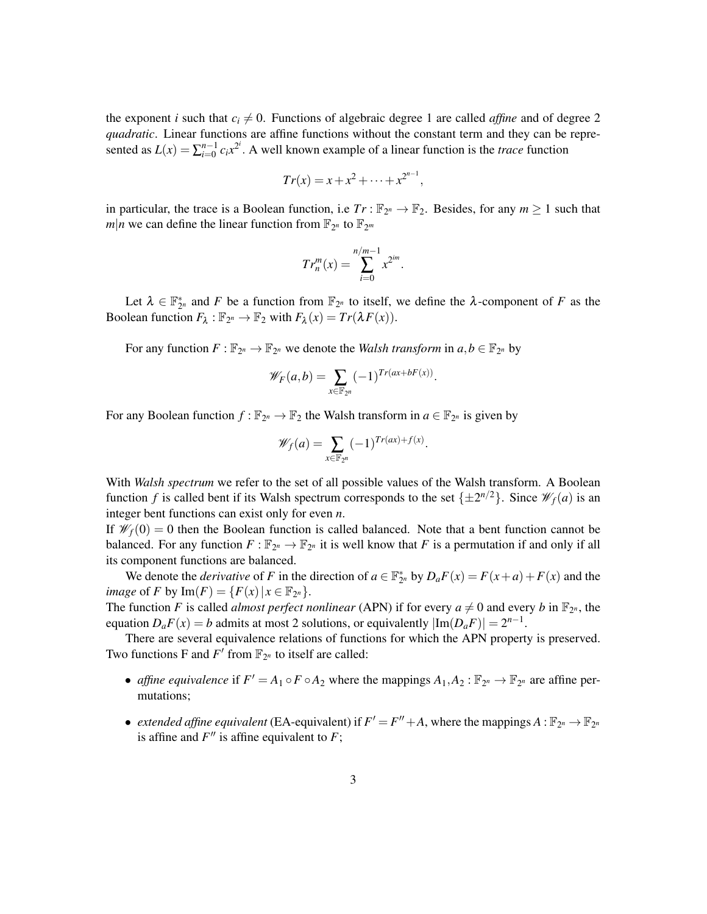the exponent *i* such that  $c_i \neq 0$ . Functions of algebraic degree 1 are called *affine* and of degree 2 *quadratic*. Linear functions are affine functions without the constant term and they can be represented as  $L(x) = \sum_{i=0}^{n-1} c_i x^{2^i}$ . A well known example of a linear function is the *trace* function

$$
Tr(x) = x + x^2 + \dots + x^{2^{n-1}},
$$

in particular, the trace is a Boolean function, i.e  $Tr : \mathbb{F}_{2^n} \to \mathbb{F}_2$ . Besides, for any  $m \ge 1$  such that  $m|n$  we can define the linear function from  $\mathbb{F}_{2^n}$  to  $\mathbb{F}_{2^m}$ 

$$
Tr_n^m(x) = \sum_{i=0}^{n/m-1} x^{2^{im}}.
$$

Let  $\lambda \in \mathbb{F}_{2^n}^*$  and *F* be a function from  $\mathbb{F}_{2^n}$  to itself, we define the  $\lambda$ -component of *F* as the Boolean function  $F_{\lambda} : \mathbb{F}_{2^n} \to \mathbb{F}_2$  with  $F_{\lambda}(x) = Tr(\lambda F(x)).$ 

For any function  $F : \mathbb{F}_{2^n} \to \mathbb{F}_{2^n}$  we denote the *Walsh transform* in  $a, b \in \mathbb{F}_{2^n}$  by

$$
\mathscr{W}_F(a,b) = \sum_{x \in \mathbb{F}_{2^n}} (-1)^{Tr(ax + bF(x))}
$$

.

For any Boolean function  $f : \mathbb{F}_{2^n} \to \mathbb{F}_2$  the Walsh transform in  $a \in \mathbb{F}_{2^n}$  is given by

$$
\mathscr{W}_f(a) = \sum_{x \in \mathbb{F}_{2^n}} (-1)^{Tr(ax) + f(x)}.
$$

With *Walsh spectrum* we refer to the set of all possible values of the Walsh transform. A Boolean function *f* is called bent if its Walsh spectrum corresponds to the set  $\{\pm 2^{n/2}\}\$ . Since  $\mathcal{W}_f(a)$  is an integer bent functions can exist only for even *n*.

If  $\mathscr{W}_f(0) = 0$  then the Boolean function is called balanced. Note that a bent function cannot be balanced. For any function  $F: \mathbb{F}_{2^n} \to \mathbb{F}_{2^n}$  it is well know that *F* is a permutation if and only if all its component functions are balanced.

We denote the *derivative* of *F* in the direction of  $a \in \mathbb{F}_{2^n}^*$  by  $D_a F(x) = F(x+a) + F(x)$  and the *image* of *F* by  $Im(F) = {F(x) | x \in \mathbb{F}_{2^n}}.$ 

The function *F* is called *almost perfect nonlinear* (APN) if for every  $a \neq 0$  and every *b* in  $\mathbb{F}_{2^n}$ , the equation  $D_aF(x) = b$  admits at most 2 solutions, or equivalently  $|\text{Im}(D_aF)| = 2^{n-1}$ .

There are several equivalence relations of functions for which the APN property is preserved. Two functions F and  $F'$  from  $\mathbb{F}_{2^n}$  to itself are called:

- *affine equivalence* if  $F' = A_1 \circ F \circ A_2$  where the mappings  $A_1, A_2 : \mathbb{F}_{2^n} \to \mathbb{F}_{2^n}$  are affine permutations;
- *extended affine equivalent* (EA-equivalent) if  $F' = F'' + A$ , where the mappings  $A : \mathbb{F}_{2^n} \to \mathbb{F}_{2^n}$ is affine and  $F''$  is affine equivalent to  $F$ ;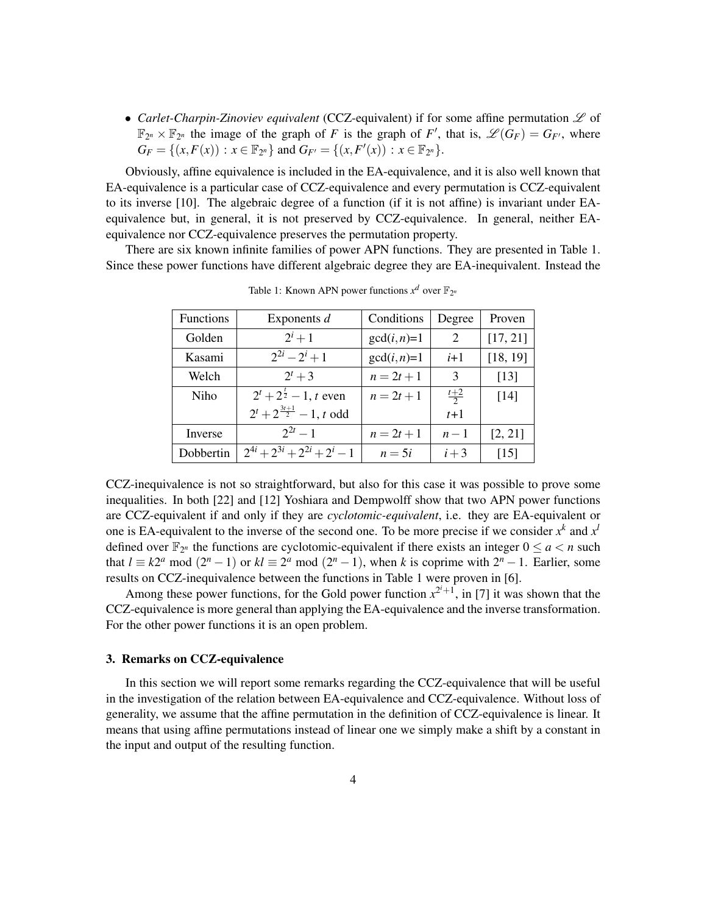• *Carlet-Charpin-Zinoviev equivalent* (CCZ-equivalent) if for some affine permutation  $\mathscr L$  of  $\mathbb{F}_{2^n} \times \mathbb{F}_{2^n}$  the image of the graph of *F* is the graph of *F'*, that is,  $\mathscr{L}(G_F) = G_{F'}$ , where  $G_F = \{(x, F(x)) : x \in \mathbb{F}_{2^n}\}\$  and  $G_{F'} = \{(x, F'(x)) : x \in \mathbb{F}_{2^n}\}.$ 

Obviously, affine equivalence is included in the EA-equivalence, and it is also well known that EA-equivalence is a particular case of CCZ-equivalence and every permutation is CCZ-equivalent to its inverse [10]. The algebraic degree of a function (if it is not affine) is invariant under EAequivalence but, in general, it is not preserved by CCZ-equivalence. In general, neither EAequivalence nor CCZ-equivalence preserves the permutation property.

There are six known infinite families of power APN functions. They are presented in Table 1. Since these power functions have different algebraic degree they are EA-inequivalent. Instead the

| <b>Functions</b> | Exponents $d$                          | Conditions    | Degree        | Proven   |
|------------------|----------------------------------------|---------------|---------------|----------|
| Golden           | $2^{i}+1$                              | $gcd(i, n)=1$ | 2             | [17, 21] |
| Kasami           | $2^{2i} - 2^i + 1$                     | $gcd(i, n)=1$ | $i+1$         | [18, 19] |
| Welch            | $2^{t}+3$                              | $n = 2t + 1$  | 3             | [13]     |
| Niho             | $2^t + 2^{\frac{t}{2}} - 1$ , t even   | $n = 2t + 1$  | $rac{t+2}{2}$ | [14]     |
|                  | $2^t + 2^{\frac{3t+1}{2}} - 1$ , t odd |               | $t+1$         |          |
| Inverse          | $2^{2t}-1$                             | $n = 2t + 1$  | $n-1$         | [2, 21]  |
| Dobbertin        | $2^{4i} + 2^{3i} + 2^{2i} + 2^i - 1$   | $n=5i$        | $i+3$         | [15]     |

Table 1: Known APN power functions  $x^d$  over  $\mathbb{F}_{2^n}$ 

CCZ-inequivalence is not so straightforward, but also for this case it was possible to prove some inequalities. In both [22] and [12] Yoshiara and Dempwolff show that two APN power functions are CCZ-equivalent if and only if they are *cyclotomic-equivalent*, i.e. they are EA-equivalent or one is EA-equivalent to the inverse of the second one. To be more precise if we consider  $x^k$  and  $x^l$ defined over  $\mathbb{F}_{2^n}$  the functions are cyclotomic-equivalent if there exists an integer  $0 \le a < n$  such that  $l \equiv k2^a \mod (2^n - 1)$  or  $kl \equiv 2^a \mod (2^n - 1)$ , when *k* is coprime with  $2^n - 1$ . Earlier, some results on CCZ-inequivalence between the functions in Table 1 were proven in [6].

Among these power functions, for the Gold power function  $x^{2^i+1}$ , in [7] it was shown that the CCZ-equivalence is more general than applying the EA-equivalence and the inverse transformation. For the other power functions it is an open problem.

## 3. Remarks on CCZ-equivalence

In this section we will report some remarks regarding the CCZ-equivalence that will be useful in the investigation of the relation between EA-equivalence and CCZ-equivalence. Without loss of generality, we assume that the affine permutation in the definition of CCZ-equivalence is linear. It means that using affine permutations instead of linear one we simply make a shift by a constant in the input and output of the resulting function.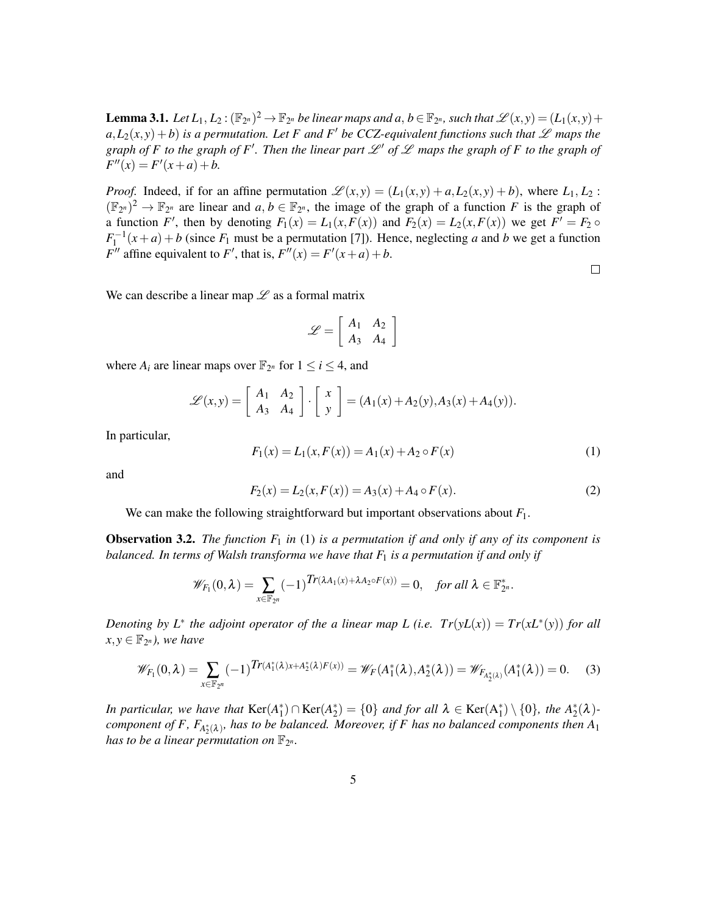**Lemma 3.1.** Let  $L_1, L_2: (\mathbb{F}_{2^n})^2 \to \mathbb{F}_{2^n}$  be linear maps and a,  $b \in \mathbb{F}_{2^n}$ , such that  $\mathscr{L}(x, y) = (L_1(x, y) +$  $a, L_2(x, y) + b$  *is a permutation. Let F and F' be CCZ-equivalent functions such that*  $\mathscr L$  *maps the graph of F to the graph of F'. Then the linear part*  $\mathscr{L}'$  *of*  $\mathscr{L}$  *maps the graph of F to the graph of*  $F''(x) = F'(x+a) + b.$ 

*Proof.* Indeed, if for an affine permutation  $\mathcal{L}(x, y) = (L_1(x, y) + a, L_2(x, y) + b)$ , where  $L_1, L_2$ :  $(\mathbb{F}_{2^n})^2 \to \mathbb{F}_{2^n}$  are linear and  $a, b \in \mathbb{F}_{2^n}$ , the image of the graph of a function *F* is the graph of a function *F'*, then by denoting  $F_1(x) = L_1(x, F(x))$  and  $F_2(x) = L_2(x, F(x))$  we get  $F' = F_2 \circ$  $F_1^{-1}(x+a) + b$  (since  $F_1$  must be a permutation [7]). Hence, neglecting *a* and *b* we get a function *F*<sup>*''*</sup> affine equivalent to *F*<sup>'</sup>, that is,  $F''(x) = F'(x+a) + b$ .

 $\Box$ 

We can describe a linear map  $\mathscr L$  as a formal matrix

$$
\mathscr{L} = \left[ \begin{array}{cc} A_1 & A_2 \\ A_3 & A_4 \end{array} \right]
$$

where  $A_i$  are linear maps over  $\mathbb{F}_{2^n}$  for  $1 \le i \le 4$ , and

$$
\mathscr{L}(x,y) = \left[\begin{array}{cc} A_1 & A_2 \\ A_3 & A_4 \end{array}\right] \cdot \left[\begin{array}{c} x \\ y \end{array}\right] = (A_1(x) + A_2(y), A_3(x) + A_4(y)).
$$

In particular,

$$
F_1(x) = L_1(x, F(x)) = A_1(x) + A_2 \circ F(x)
$$
\n(1)

and

$$
F_2(x) = L_2(x, F(x)) = A_3(x) + A_4 \circ F(x).
$$
 (2)

We can make the following straightforward but important observations about *F*1.

**Observation 3.2.** *The function*  $F_1$  *in* (1) *is a permutation if and only if any of its component is balanced. In terms of Walsh transforma we have that F*<sup>1</sup> *is a permutation if and only if*

$$
\mathscr{W}_{F_1}(0,\lambda)=\sum_{x\in\mathbb{F}_{2^n}}(-1)^{Tr(\lambda A_1(x)+\lambda A_2\circ F(x))}=0,\quad \text{for all }\lambda\in\mathbb{F}_{2^n}^*.
$$

*Denoting by*  $L^*$  the adjoint operator of the a linear map L (i.e.  $Tr(yL(x)) = Tr(xL^*(y))$  for all  $x, y \in \mathbb{F}_{2^n}$ ), we have

$$
\mathscr{W}_{F_1}(0,\lambda) = \sum_{x \in \mathbb{F}_{2^n}} (-1)^{Tr(A_1^*(\lambda)x + A_2^*(\lambda)F(x))} = \mathscr{W}_F(A_1^*(\lambda), A_2^*(\lambda)) = \mathscr{W}_{F_{A_2^*(\lambda)}}(A_1^*(\lambda)) = 0. \tag{3}
$$

*In particular, we have that*  $\text{Ker}(A_1^*) \cap \text{Ker}(A_2^*) = \{0\}$  *and for all*  $\lambda \in \text{Ker}(A_1^*) \setminus \{0\}$ *, the*  $A_2^*(\lambda)$ component of F,  $F_{A_2^*(\lambda)}$ , has to be balanced. Moreover, if F has no balanced components then  $A_1$ has to be a linear permutation on  $\mathbb{F}_{2^n}$ .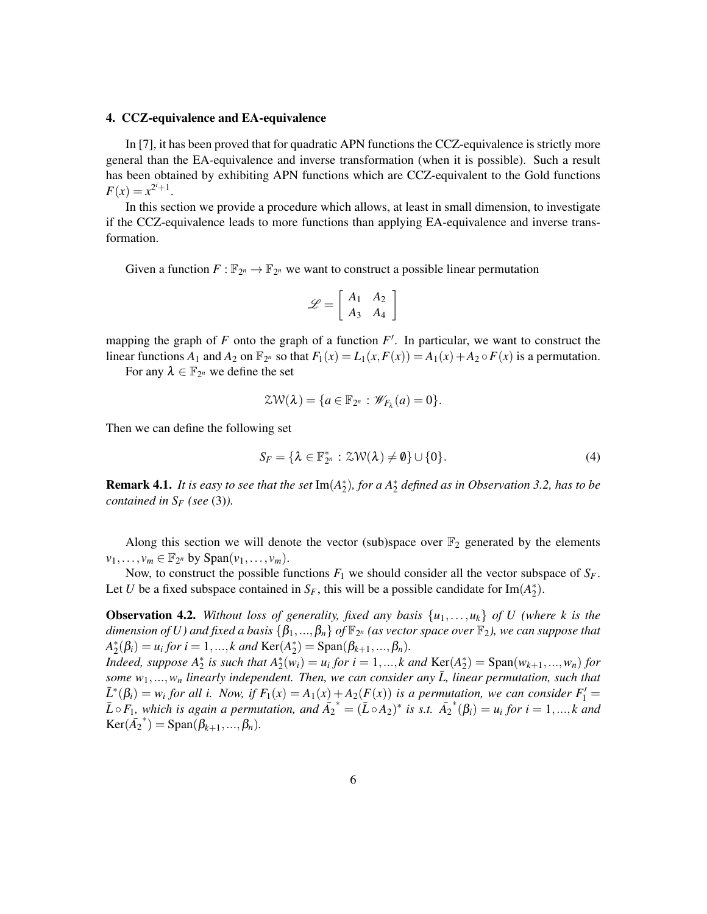#### 4. CCZ-equivalence and EA-equivalence

In [7], it has been proved that for quadratic APN functions the CCZ-equivalence is strictly more general than the EA-equivalence and inverse transformation (when it is possible). Such a result has been obtained by exhibiting APN functions which are CCZ-equivalent to the Gold functions  $F(x) = x^{2^{i}+1}.$ 

In this section we provide a procedure which allows, at least in small dimension, to investigate if the CCZ-equivalence leads to more functions than applying EA-equivalence and inverse transformation.

Given a function  $F: \mathbb{F}_{2^n} \to \mathbb{F}_{2^n}$  we want to construct a possible linear permutation

$$
\mathscr{L} = \left[ \begin{array}{cc} A_1 & A_2 \\ A_3 & A_4 \end{array} \right]
$$

mapping the graph of  $F$  onto the graph of a function  $F'$ . In particular, we want to construct the linear functions  $A_1$  and  $A_2$  on  $\mathbb{F}_{2^n}$  so that  $F_1(x) = L_1(x, F(x)) = A_1(x) + A_2 \circ F(x)$  is a permutation.

For any  $\lambda \in \mathbb{F}_{2^n}$  we define the set

$$
\mathcal{ZW}(\lambda) = \{a \in \mathbb{F}_{2^n} : \mathscr{W}_{F_{\lambda}}(a) = 0\}.
$$

Then we can define the following set

$$
S_F = \{ \lambda \in \mathbb{F}_{2^n}^* : \mathcal{ZW}(\lambda) \neq \emptyset \} \cup \{0\}. \tag{4}
$$

**Remark 4.1.** It is easy to see that the set  $Im(A_2^*)$ , for a  $A_2^*$  defined as in Observation 3.2, has to be *contained in S<sup>F</sup> (see* (3)*).*

Along this section we will denote the vector (sub)space over  $\mathbb{F}_2$  generated by the elements  $v_1, \ldots, v_m \in \mathbb{F}_{2^n}$  by  $Span(v_1, \ldots, v_m)$ .

Now, to construct the possible functions  $F_1$  we should consider all the vector subspace of  $S_F$ . Let *U* be a fixed subspace contained in  $S_F$ , this will be a possible candidate for Im( $A_2^*$ ).

**Observation 4.2.** Without loss of generality, fixed any basis  $\{u_1, \ldots, u_k\}$  of U (where k is the  $d$ imension of  $U$ ) and fixed a basis  $\{\beta_1,...,\beta_n\}$  of  $\mathbb{F}_{2^n}$  (as vector space over  $\mathbb{F}_2$ ), we can suppose that  $A_2^*(\beta_i) = u_i$  for  $i = 1, ..., k$  and  $\text{Ker}(A_2^*) = \text{Span}(\beta_{k+1}, ..., \beta_n)$ .

*Indeed, suppose*  $A_2^*$  *is such that*  $A_2^*(w_i) = u_i$  *for*  $i = 1, ..., k$  *and*  $\text{Ker}(A_2^*) = \text{Span}(w_{k+1}, ..., w_n)$  *for some*  $w_1, \ldots, w_n$  *linearly independent. Then, we can consider any*  $\overline{L}$ *, linear permutation, such that*  $\bar{L}^*(\beta_i) = w_i$  for all i. Now, if  $F_1(x) = A_1(x) + A_2(F(x))$  is a permutation, we can consider  $F_1' =$  $\overline{L} \circ F_1$ , which is again a permutation, and  $\overline{A_2}^* = (\overline{L} \circ A_2)^*$  is s.t.  $\overline{A_2}^*(\beta_i) = u_i$  for  $i = 1, ..., k$  and  $Ker(\bar{A_2}^*) = Span(\beta_{k+1}, ..., \beta_n).$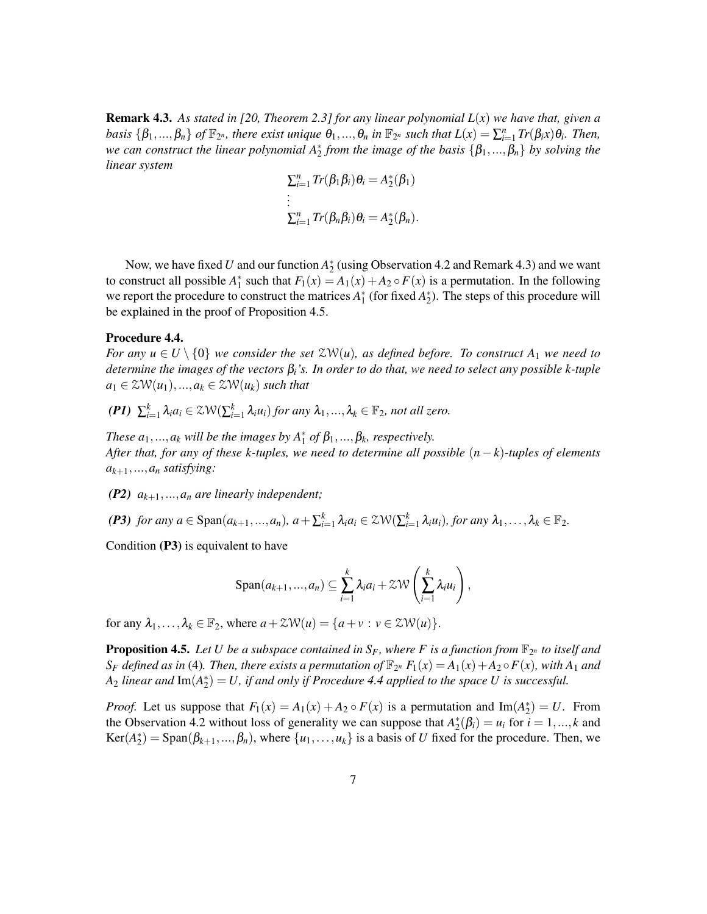Remark 4.3. *As stated in [20, Theorem 2.3] for any linear polynomial L*(*x*) *we have that, given a* basis  $\{\beta_1,...,\beta_n\}$  of  $\mathbb{F}_{2^n}$ , there exist unique  $\theta_1,...,\theta_n$  in  $\mathbb{F}_{2^n}$  such that  $L(x) = \sum_{i=1}^n Tr(\beta_i x) \theta_i$ . Then, *we can construct the linear polynomial*  $A_2^*$  *from the image of the basis* {β<sub>1</sub>,...,β<sub>n</sub>} *by solving the linear system*

$$
\sum_{i=1}^{n} Tr(\beta_1 \beta_i) \theta_i = A_2^*(\beta_1)
$$
  
\n:  
\n
$$
\sum_{i=1}^{n} Tr(\beta_n \beta_i) \theta_i = A_2^*(\beta_n).
$$

Now, we have fixed *U* and our function  $A_2^*$  (using Observation 4.2 and Remark 4.3) and we want to construct all possible  $A_1^*$  such that  $F_1(x) = A_1(x) + A_2 \circ F(x)$  is a permutation. In the following we report the procedure to construct the matrices  $A_1^*$  (for fixed  $A_2^*$ ). The steps of this procedure will be explained in the proof of Proposition 4.5.

#### Procedure 4.4.

*For any*  $u \in U \setminus \{0\}$  *we consider the set*  $\mathcal{ZW}(u)$ *, as defined before. To construct*  $A_1$  *we need to determine the images of the vectors*  $\beta$ *<sub><i>i*</sub><sup>'</sup>*s*. *In order to do that, we need to select any possible k-tuple*  $a_1 \in \mathcal{ZW}(u_1),...,a_k \in \mathcal{ZW}(u_k)$  *such that* 

 $(PI)$   $\sum_{i=1}^{k} \lambda_i a_i \in \mathcal{ZW}(\sum_{i=1}^{k} \lambda_i u_i)$  *for any*  $\lambda_1, ..., \lambda_k \in \mathbb{F}_2$ *, not all zero.* 

*These*  $a_1, ..., a_k$  *will be the images by*  $A_1^*$  *of*  $\beta_1, ..., \beta_k$ *, respectively. After that, for any of these k-tuples, we need to determine all possible* (*n* − *k*)*-tuples of elements ak*+1,...,*a<sup>n</sup> satisfying:*

- *(P2) ak*+1,...,*a<sup>n</sup> are linearly independent;*
- (P3) for any  $a \in \text{Span}(a_{k+1},...,a_n)$ ,  $a + \sum_{i=1}^k \lambda_i a_i \in \mathcal{ZW}(\sum_{i=1}^k \lambda_i u_i)$ , for any  $\lambda_1,..., \lambda_k \in \mathbb{F}_2$ .

Condition (P3) is equivalent to have

$$
\mathrm{Span}(a_{k+1},...,a_n) \subseteq \sum_{i=1}^k \lambda_i a_i + \mathcal{ZW}\left(\sum_{i=1}^k \lambda_i u_i\right),
$$

for any  $\lambda_1, \ldots, \lambda_k \in \mathbb{F}_2$ , where  $a + \mathcal{ZW}(u) = \{a + v : v \in \mathcal{ZW}(u)\}.$ 

**Proposition 4.5.** Let U be a subspace contained in  $S_F$ , where F is a function from  $\mathbb{F}_{2^n}$  to itself and  $S_F$  *defined as in* (4). Then, there exists a permutation of  $\mathbb{F}_{2^n}$   $F_1(x) = A_1(x) + A_2 \circ F(x)$ , with  $A_1$  and  $A_2$  *linear and*  $\text{Im}(A_2^*) = U$ , *if and only if Procedure 4.4 applied to the space U is successful.* 

*Proof.* Let us suppose that  $F_1(x) = A_1(x) + A_2 \circ F(x)$  is a permutation and Im( $A_2^*$ ) = *U*. From the Observation 4.2 without loss of generality we can suppose that  $A_2^*(\beta_i) = u_i$  for  $i = 1, ..., k$  and  $Ker(A_2^*) = Span(\beta_{k+1}, ..., \beta_n)$ , where  $\{u_1, ..., u_k\}$  is a basis of *U* fixed for the procedure. Then, we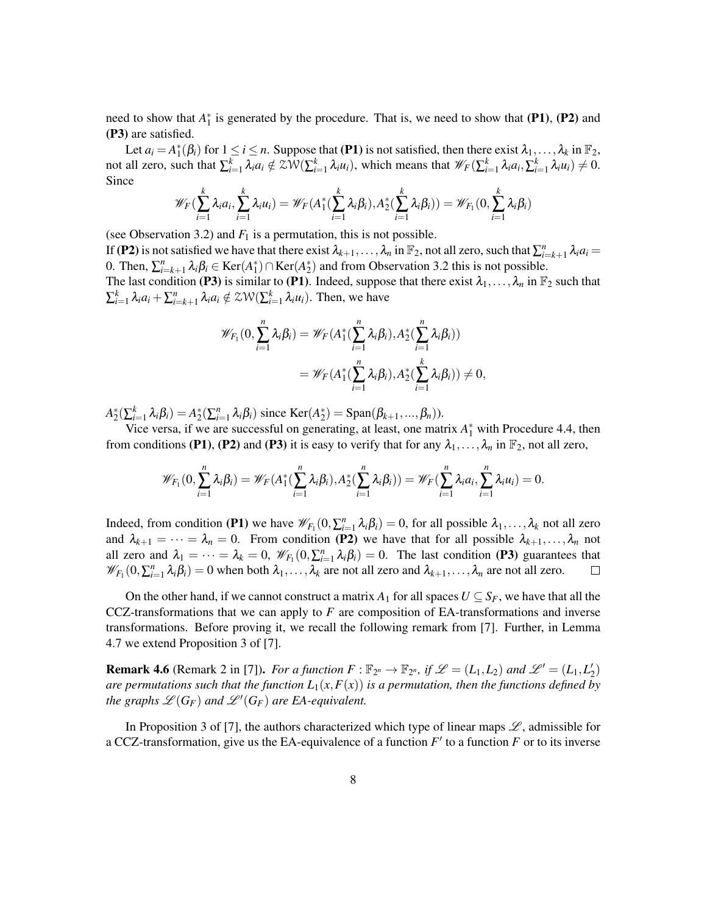need to show that  $A_1^*$  is generated by the procedure. That is, we need to show that (P1), (P2) and (P3) are satisfied.

Let  $a_i = A_1^*(\beta_i)$  for  $1 \le i \le n$ . Suppose that (P1) is not satisfied, then there exist  $\lambda_1, \ldots, \lambda_k$  in  $\mathbb{F}_2$ , not all zero, such that  $\sum_{i=1}^{k} \lambda_i a_i \notin \mathbb{ZW}(\sum_{i=1}^{k} \lambda_i u_i)$ , which means that  $\mathscr{W}_F(\sum_{i=1}^{k} \lambda_i a_i, \sum_{i=1}^{k} \lambda_i u_i) \neq 0$ . Since

$$
\mathscr{W}_F(\sum_{i=1}^k \lambda_i a_i, \sum_{i=1}^k \lambda_i u_i) = \mathscr{W}_F(A_1^*(\sum_{i=1}^k \lambda_i \beta_i), A_2^*(\sum_{i=1}^k \lambda_i \beta_i)) = \mathscr{W}_{F_1}(0, \sum_{i=1}^k \lambda_i \beta_i)
$$

(see Observation 3.2) and  $F_1$  is a permutation, this is not possible.

If (P2) is not satisfied we have that there exist  $\lambda_{k+1},\ldots,\lambda_n$  in  $\mathbb{F}_2$ , not all zero, such that  $\sum_{i=k+1}^n \lambda_i a_i =$ 0. Then,  $\sum_{i=k+1}^{n} \lambda_i \beta_i \in \text{Ker}(A_1^*) \cap \text{Ker}(A_2^*)$  and from Observation 3.2 this is not possible. The last condition (P3) is similar to (P1). Indeed, suppose that there exist  $\lambda_1,\ldots,\lambda_n$  in  $\mathbb{F}_2$  such that

 $\sum_{i=1}^k \lambda_i a_i + \sum_{i=k+1}^n \lambda_i a_i \notin \mathcal{ZW}(\sum_{i=1}^k \lambda_i u_i)$ . Then, we have

$$
\mathscr{W}_{F_1}(0,\sum_{i=1}^n \lambda_i \beta_i) = \mathscr{W}_F(A_1^*(\sum_{i=1}^n \lambda_i \beta_i), A_2^*(\sum_{i=1}^n \lambda_i \beta_i))
$$
  
=  $\mathscr{W}_F(A_1^*(\sum_{i=1}^n \lambda_i \beta_i), A_2^*(\sum_{i=1}^k \lambda_i \beta_i)) \neq 0,$ 

 $A_2^*(\sum_{i=1}^k \lambda_i \beta_i) = A_2^*(\sum_{i=1}^n \lambda_i \beta_i)$  since  $\text{Ker}(A_2^*) = \text{Span}(\beta_{k+1},...,\beta_n)$ .

Vice versa, if we are successful on generating, at least, one matrix  $A_1^*$  with Procedure 4.4, then from conditions (P1), (P2) and (P3) it is easy to verify that for any  $\lambda_1, \ldots, \lambda_n$  in  $\mathbb{F}_2$ , not all zero,

$$
\mathscr{W}_{F_1}(0,\sum_{i=1}^n \lambda_i \beta_i) = \mathscr{W}_F(A_1^*(\sum_{i=1}^n \lambda_i \beta_i),A_2^*(\sum_{i=1}^n \lambda_i \beta_i)) = \mathscr{W}_F(\sum_{i=1}^n \lambda_i a_i,\sum_{i=1}^n \lambda_i u_i) = 0.
$$

Indeed, from condition (P1) we have  $\mathscr{W}_{F_1}(0, \sum_{i=1}^n \lambda_i \beta_i) = 0$ , for all possible  $\lambda_1, \ldots, \lambda_k$  not all zero and  $\lambda_{k+1} = \cdots = \lambda_n = 0$ . From condition (P2) we have that for all possible  $\lambda_{k+1}, \ldots, \lambda_n$  not all zero and  $\lambda_1 = \cdots = \lambda_k = 0$ ,  $\mathcal{W}_{F_1}(0, \sum_{i=1}^n \lambda_i \beta_i) = 0$ . The last condition (P3) guarantees that  $\mathscr{W}_{F_1}(0, \sum_{i=1}^n \lambda_i \beta_i) = 0$  when both  $\lambda_1, \ldots, \lambda_k$  are not all zero and  $\lambda_{k+1}, \ldots, \lambda_n$  are not all zero.  $\Box$ 

On the other hand, if we cannot construct a matrix  $A_1$  for all spaces  $U \subseteq S_F$ , we have that all the CCZ-transformations that we can apply to *F* are composition of EA-transformations and inverse transformations. Before proving it, we recall the following remark from [7]. Further, in Lemma 4.7 we extend Proposition 3 of [7].

**Remark 4.6** (Remark 2 in [7]). *For a function*  $F : \mathbb{F}_{2^n} \to \mathbb{F}_{2^n}$ , if  $\mathcal{L} = (L_1, L_2)$  and  $\mathcal{L}' = (L_1, L'_2)$ *are permutations such that the function*  $L_1(x, F(x))$  *is a permutation, then the functions defined by the graphs*  $\mathscr{L}(G_F)$  *and*  $\mathscr{L}'(G_F)$  *are EA-equivalent.* 

In Proposition 3 of [7], the authors characterized which type of linear maps  $\mathscr{L}$ , admissible for a CCZ-transformation, give us the EA-equivalence of a function  $F'$  to a function  $F$  or to its inverse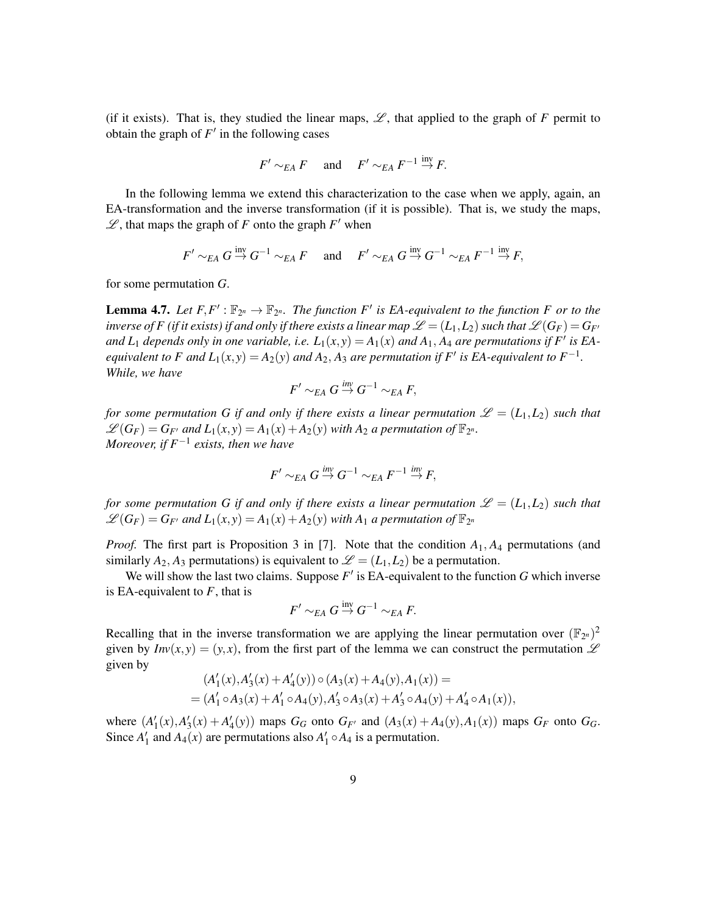(if it exists). That is, they studied the linear maps,  $\mathscr{L}$ , that applied to the graph of *F* permit to obtain the graph of  $F'$  in the following cases

$$
F' \sim_{EA} F
$$
 and  $F' \sim_{EA} F^{-1} \stackrel{\text{inv}}{\rightarrow} F$ .

In the following lemma we extend this characterization to the case when we apply, again, an EA-transformation and the inverse transformation (if it is possible). That is, we study the maps,  $\mathscr{L}$ , that maps the graph of *F* onto the graph  $F'$  when

$$
F' \sim_{EA} G \stackrel{\text{inv}}{\rightarrow} G^{-1} \sim_{EA} F
$$
 and  $F' \sim_{EA} G \stackrel{\text{inv}}{\rightarrow} G^{-1} \sim_{EA} F^{-1} \stackrel{\text{inv}}{\rightarrow} F$ ,

for some permutation *G*.

**Lemma 4.7.** Let  $F, F' : \mathbb{F}_{2^n} \to \mathbb{F}_{2^n}$ . The function  $F'$  is EA-equivalent to the function F or to the *inverse of F (if it exists) if and only if there exists a linear map*  $\mathscr{L} = (L_1, L_2)$  such that  $\mathscr{L}(G_F) = G_{F}$ *and*  $L_1$  *depends only in one variable, i.e.*  $L_1(x,y) = A_1(x)$  *and*  $A_1$ *,*  $A_4$  *are permutations if*  $F'$  *is*  $EA$ *equivalent to F and*  $L_1(x, y) = A_2(y)$  *and*  $A_2$ ,  $A_3$  *are permutation if*  $F'$  *is EA-equivalent to*  $F^{-1}$ *. While, we have*

$$
F' \sim_{EA} G \stackrel{\text{inv}}{\rightarrow} G^{-1} \sim_{EA} F,
$$

*for some permutation G if and only if there exists a linear permutation*  $\mathscr{L} = (L_1, L_2)$  *such that*  $\mathscr{L}(G_F) = G_{F'}$  and  $L_1(x, y) = A_1(x) + A_2(y)$  with  $A_2$  a permutation of  $\mathbb{F}_{2^n}$ . *Moreover, if F*−<sup>1</sup> *exists, then we have*

$$
F' \sim_{E A} G \stackrel{\text{inv}}{\rightarrow} G^{-1} \sim_{E A} F^{-1} \stackrel{\text{inv}}{\rightarrow} F,
$$

*for some permutation G if and only if there exists a linear permutation*  $\mathscr{L} = (L_1, L_2)$  *such that*  $\mathscr{L}(G_F) = G_{F'}$  and  $L_1(x, y) = A_1(x) + A_2(y)$  with  $A_1$  a permutation of  $\mathbb{F}_{2^n}$ 

*Proof.* The first part is Proposition 3 in [7]. Note that the condition *A*1, *A*<sup>4</sup> permutations (and similarly  $A_2$ ,  $A_3$  permutations) is equivalent to  $\mathscr{L} = (L_1, L_2)$  be a permutation.

We will show the last two claims. Suppose  $F'$  is EA-equivalent to the function  $G$  which inverse is EA-equivalent to *F*, that is

$$
F' \sim_{EA} G \stackrel{\operatorname{inv}}{\rightarrow} G^{-1} \sim_{EA} F.
$$

Recalling that in the inverse transformation we are applying the linear permutation over  $(\mathbb{F}_{2^n})^2$ given by  $Inv(x, y) = (y, x)$ , from the first part of the lemma we can construct the permutation  $\mathscr L$ given by  $\overline{a}$ 

$$
(A'_1(x), A'_3(x) + A'_4(y)) \circ (A_3(x) + A_4(y), A_1(x)) =
$$
  
=  $(A'_1 \circ A_3(x) + A'_1 \circ A_4(y), A'_3 \circ A_3(x) + A'_3 \circ A_4(y) + A'_4 \circ A_1(x)),$ 

where  $(A'_1(x), A'_3(x) + A'_4(y))$  maps  $G_G$  onto  $G_{F'}$  and  $(A_3(x) + A_4(y), A_1(x))$  maps  $G_F$  onto  $G_G$ . Since  $A'_1$  and  $A_4(x)$  are permutations also  $A'_1 \circ A_4$  is a permutation.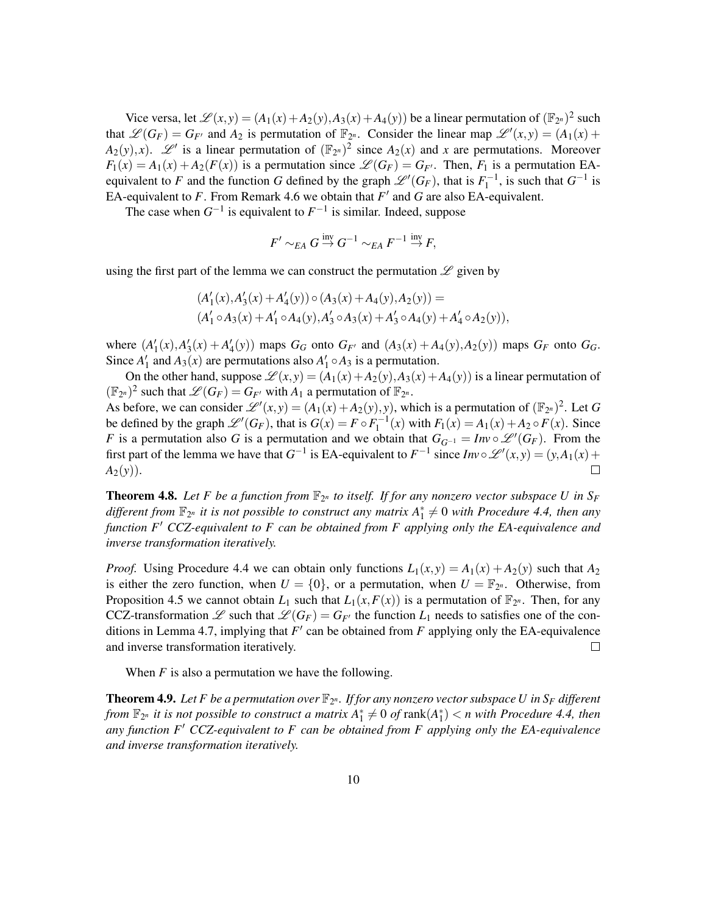Vice versa, let  $\mathcal{L}(x, y) = (A_1(x) + A_2(y), A_3(x) + A_4(y))$  be a linear permutation of  $(\mathbb{F}_{2^n})^2$  such that  $\mathscr{L}(G_F) = G_{F'}$  and  $A_2$  is permutation of  $\mathbb{F}_{2^n}$ . Consider the linear map  $\mathscr{L}'(x, y) = (A_1(x) +$  $A_2(y), x$ ).  $\mathscr{L}'$  is a linear permutation of  $(\mathbb{F}_{2^n})^2$  since  $A_2(x)$  and *x* are permutations. Moreover  $F_1(x) = A_1(x) + A_2(F(x))$  is a permutation since  $\mathscr{L}(G_F) = G_{F}$ . Then,  $F_1$  is a permutation EAequivalent to *F* and the function *G* defined by the graph  $\mathscr{L}'(G_F)$ , that is  $F_1^{-1}$ , is such that  $G^{-1}$  is EA-equivalent to  $F$ . From Remark 4.6 we obtain that  $F'$  and  $G$  are also EA-equivalent.

The case when  $G^{-1}$  is equivalent to  $F^{-1}$  is similar. Indeed, suppose

$$
F' \sim_{EA} G \stackrel{\text{inv}}{\rightarrow} G^{-1} \sim_{EA} F^{-1} \stackrel{\text{inv}}{\rightarrow} F,
$$

using the first part of the lemma we can construct the permutation  $\mathscr L$  given by

$$
(A'_1(x), A'_3(x) + A'_4(y)) \circ (A_3(x) + A_4(y), A_2(y)) =
$$
  

$$
(A'_1 \circ A_3(x) + A'_1 \circ A_4(y), A'_3 \circ A_3(x) + A'_3 \circ A_4(y) + A'_4 \circ A_2(y)),
$$

where  $(A'_1(x), A'_3(x) + A'_4(y))$  maps  $G_G$  onto  $G_{F'}$  and  $(A_3(x) + A_4(y), A_2(y))$  maps  $G_F$  onto  $G_G$ . Since  $A'_1$  and  $A_3(x)$  are permutations also  $A'_1 \circ A_3$  is a permutation.

On the other hand, suppose  $\mathcal{L}(x, y) = (A_1(x) + A_2(y), A_3(x) + A_4(y))$  is a linear permutation of  $(\mathbb{F}_{2^n})^2$  such that  $\mathscr{L}(G_F) = G_{F'}$  with  $A_1$  a permutation of  $\mathbb{F}_{2^n}$ .

As before, we can consider  $\mathscr{L}'(x, y) = (A_1(x) + A_2(y), y)$ , which is a permutation of  $(\mathbb{F}_{2^n})^2$ . Let *G* be defined by the graph  $\mathscr{L}'(G_F)$ , that is  $G(x) = F \circ F_1^{-1}(x)$  with  $F_1(x) = A_1(x) + A_2 \circ F(x)$ . Since *F* is a permutation also *G* is a permutation and we obtain that  $G_{G^{-1}} = Inv \circ \mathcal{L}^{\prime\prime}(G_F)$ . From the first part of the lemma we have that  $G^{-1}$  is EA-equivalent to  $F^{-1}$  since  $Inv \circ \mathcal{L}'(x, y) = (y, A_1(x) +$  $A_2(y)$ ).  $\Box$ 

**Theorem 4.8.** Let F be a function from  $\mathbb{F}_{2^n}$  to itself. If for any nonzero vector subspace U in  $S_F$ different from  $\mathbb{F}_{2^n}$  it is not possible to construct any matrix  $A_1^* \neq 0$  with Procedure 4.4, then any *function F<sup>'</sup> CCZ-equivalent to F can be obtained from F applying only the EA-equivalence and inverse transformation iteratively.*

*Proof.* Using Procedure 4.4 we can obtain only functions  $L_1(x, y) = A_1(x) + A_2(y)$  such that  $A_2$ is either the zero function, when  $U = \{0\}$ , or a permutation, when  $U = \mathbb{F}_{2^n}$ . Otherwise, from Proposition 4.5 we cannot obtain  $L_1$  such that  $L_1(x, F(x))$  is a permutation of  $\mathbb{F}_{2^n}$ . Then, for any CCZ-transformation  $\mathscr L$  such that  $\mathscr L (G_F) = G_{F'}$  the function  $L_1$  needs to satisfies one of the conditions in Lemma 4.7, implying that  $F'$  can be obtained from  $F$  applying only the EA-equivalence and inverse transformation iteratively.  $\Box$ 

When *F* is also a permutation we have the following.

**Theorem 4.9.** Let F be a permutation over  $\mathbb{F}_{2^n}$ . If for any nonzero vector subspace U in  $S_F$  different from  $\mathbb{F}_{2^n}$  it is not possible to construct a matrix  $A_1^* \neq 0$  of  $\text{rank}(A_1^*) < n$  with Procedure 4.4, then *any function F*<sup>0</sup> *CCZ-equivalent to F can be obtained from F applying only the EA-equivalence and inverse transformation iteratively.*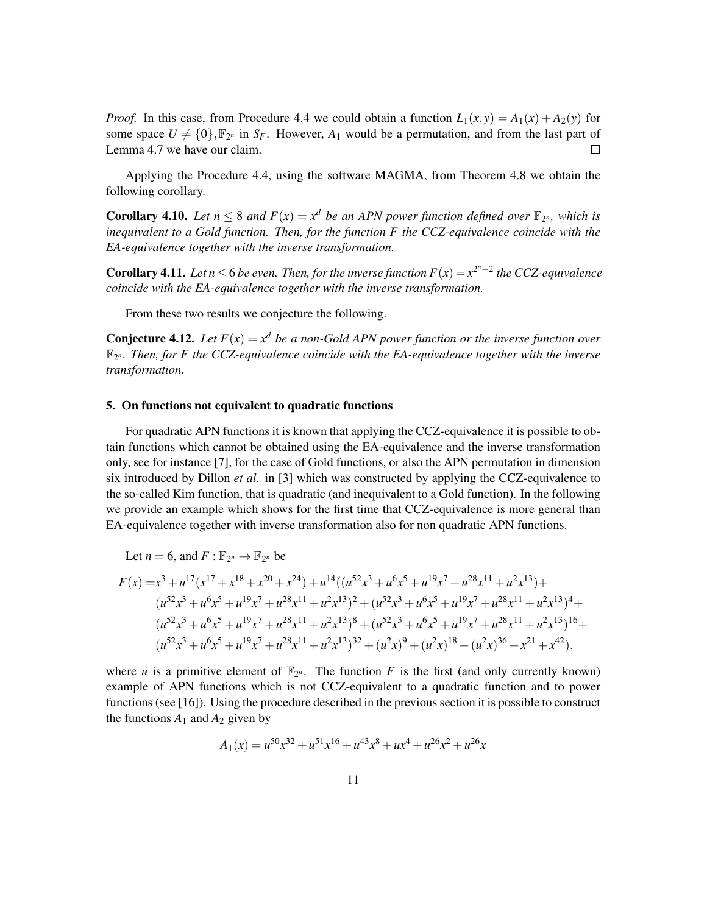*Proof.* In this case, from Procedure 4.4 we could obtain a function  $L_1(x, y) = A_1(x) + A_2(y)$  for some space  $U \neq \{0\}$ ,  $\mathbb{F}_{2^n}$  in  $S_F$ . However,  $A_1$  would be a permutation, and from the last part of Lemma 4.7 we have our claim.  $\Box$ 

Applying the Procedure 4.4, using the software MAGMA, from Theorem 4.8 we obtain the following corollary.

**Corollary 4.10.** Let  $n \leq 8$  and  $F(x) = x^d$  be an APN power function defined over  $\mathbb{F}_{2^n}$ , which is *inequivalent to a Gold function. Then, for the function F the CCZ-equivalence coincide with the EA-equivalence together with the inverse transformation.*

**Corollary 4.11.** Let  $n \le 6$  be even. Then, for the inverse function  $F(x) = x^{2^n-2}$  the CCZ-equivalence *coincide with the EA-equivalence together with the inverse transformation.*

From these two results we conjecture the following.

**Conjecture 4.12.** Let  $F(x) = x^d$  be a non-Gold APN power function or the inverse function over  $\mathbb{F}_{2^n}$ . Then, for F the CCZ-equivalence coincide with the EA-equivalence together with the inverse *transformation.*

# 5. On functions not equivalent to quadratic functions

For quadratic APN functions it is known that applying the CCZ-equivalence it is possible to obtain functions which cannot be obtained using the EA-equivalence and the inverse transformation only, see for instance [7], for the case of Gold functions, or also the APN permutation in dimension six introduced by Dillon *et al.* in [3] which was constructed by applying the CCZ-equivalence to the so-called Kim function, that is quadratic (and inequivalent to a Gold function). In the following we provide an example which shows for the first time that CCZ-equivalence is more general than EA-equivalence together with inverse transformation also for non quadratic APN functions.

Let 
$$
n = 6
$$
, and  $F : \mathbb{F}_{2^n} \to \mathbb{F}_{2^n}$  be

$$
F(x) = x3 + u17(x17 + x18 + x20 + x24) + u14((u52x3 + u6x5 + u19x7 + u28x11 + u2x13) +
$$
  
\n
$$
(u52x3 + u6x5 + u19x7 + u28x11 + u2x13)2 + (u52x3 + u6x5 + u19x7 + u28x11 + u2x13)4 +
$$
  
\n
$$
(u52x3 + u6x5 + u19x7 + u28x11 + u2x13)8 + (u52x3 + u6x5 + u19x7 + u28x11 + u2x13)16 +
$$
  
\n
$$
(u52x3 + u6x5 + u19x7 + u28x11 + u2x13)32 + (u2x)9 + (u2x)18 + (u2x)36 + x21 + x42),
$$

where *u* is a primitive element of  $\mathbb{F}_{2^n}$ . The function *F* is the first (and only currently known) example of APN functions which is not CCZ-equivalent to a quadratic function and to power functions (see [16]). Using the procedure described in the previous section it is possible to construct the functions  $A_1$  and  $A_2$  given by

$$
A_1(x) = u^{50}x^{32} + u^{51}x^{16} + u^{43}x^8 + ux^4 + u^{26}x^2 + u^{26}x
$$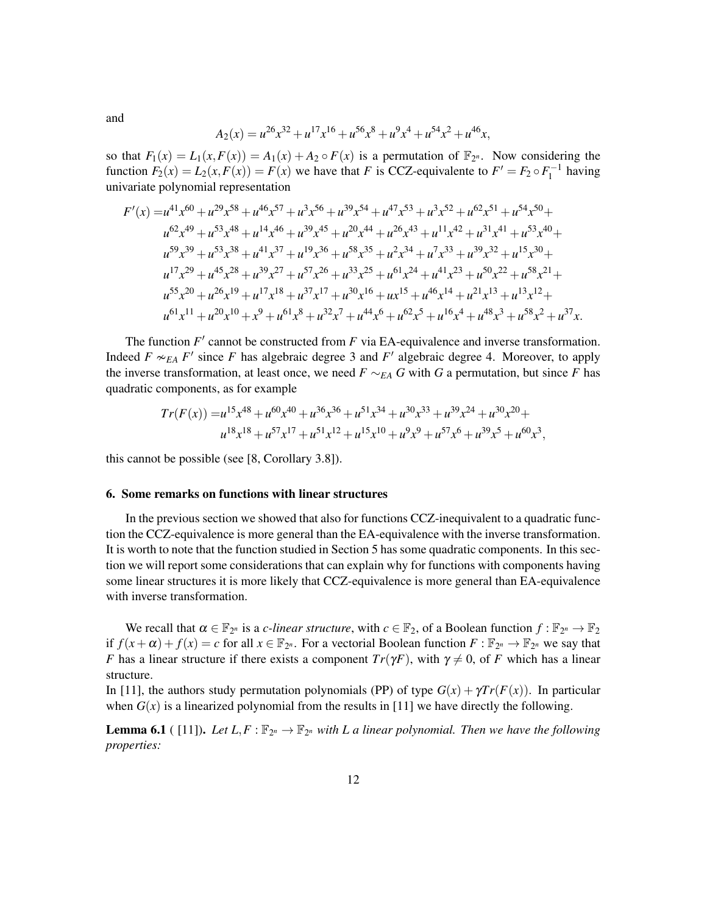and

$$
A_2(x) = u^{26}x^{32} + u^{17}x^{16} + u^{56}x^8 + u^9x^4 + u^{54}x^2 + u^{46}x,
$$

so that  $F_1(x) = L_1(x, F(x)) = A_1(x) + A_2 \circ F(x)$  is a permutation of  $\mathbb{F}_{2^n}$ . Now considering the function  $F_2(x) = L_2(x, F(x)) = F(x)$  we have that *F* is CCZ-equivalente to  $F' = F_2 \circ F_1^{-1}$  having univariate polynomial representation

$$
F'(x) = u^{41}x^{60} + u^{29}x^{58} + u^{46}x^{57} + u^{3}x^{56} + u^{39}x^{54} + u^{47}x^{53} + u^{3}x^{52} + u^{62}x^{51} + u^{54}x^{50} + u^{62}x^{49} + u^{53}x^{48} + u^{14}x^{46} + u^{39}x^{45} + u^{20}x^{44} + u^{26}x^{43} + u^{11}x^{42} + u^{31}x^{41} + u^{53}x^{40} + u^{59}x^{39} + u^{53}x^{38} + u^{41}x^{37} + u^{19}x^{36} + u^{58}x^{35} + u^{2}x^{34} + u^{7}x^{33} + u^{39}x^{32} + u^{15}x^{30} + u^{17}x^{29} + u^{45}x^{28} + u^{39}x^{27} + u^{57}x^{26} + u^{33}x^{25} + u^{61}x^{24} + u^{41}x^{23} + u^{50}x^{22} + u^{58}x^{21} + u^{55}x^{20} + u^{26}x^{19} + u^{17}x^{18} + u^{37}x^{17} + u^{30}x^{16} + u^{15}x^{14} + u^{46}x^{14} + u^{21}x^{13} + u^{13}x^{12} + u^{61}x^{11} + u^{20}x^{10} + x^9 + u^{61}x^8 + u^{32}x^7 + u^{44}x^6 + u^{62}x^5 + u^{16}x^4 + u^{48}x^3 + u^{58}x^2 + u^{37}x.
$$

The function  $F'$  cannot be constructed from  $F$  via EA-equivalence and inverse transformation. Indeed  $F \sim_{EA} F'$  since *F* has algebraic degree 3 and  $F'$  algebraic degree 4. Moreover, to apply the inverse transformation, at least once, we need  $F \sim_{EA} G$  with *G* a permutation, but since *F* has quadratic components, as for example

$$
Tr(F(x)) = u^{15}x^{48} + u^{60}x^{40} + u^{36}x^{36} + u^{51}x^{34} + u^{30}x^{33} + u^{39}x^{24} + u^{30}x^{20} +
$$
  

$$
u^{18}x^{18} + u^{57}x^{17} + u^{51}x^{12} + u^{15}x^{10} + u^{9}x^{9} + u^{57}x^{6} + u^{39}x^{5} + u^{60}x^{3},
$$

this cannot be possible (see [8, Corollary 3.8]).

### 6. Some remarks on functions with linear structures

In the previous section we showed that also for functions CCZ-inequivalent to a quadratic function the CCZ-equivalence is more general than the EA-equivalence with the inverse transformation. It is worth to note that the function studied in Section 5 has some quadratic components. In this section we will report some considerations that can explain why for functions with components having some linear structures it is more likely that CCZ-equivalence is more general than EA-equivalence with inverse transformation.

We recall that  $\alpha \in \mathbb{F}_{2^n}$  is a *c-linear structure*, with  $c \in \mathbb{F}_2$ , of a Boolean function  $f : \mathbb{F}_{2^n} \to \mathbb{F}_2$ if  $f(x+\alpha) + f(x) = c$  for all  $x \in \mathbb{F}_{2^n}$ . For a vectorial Boolean function  $F: \mathbb{F}_{2^n} \to \mathbb{F}_{2^n}$  we say that *F* has a linear structure if there exists a component  $Tr(\gamma F)$ , with  $\gamma \neq 0$ , of *F* which has a linear structure.

In [11], the authors study permutation polynomials (PP) of type  $G(x) + \gamma Tr(F(x))$ . In particular when  $G(x)$  is a linearized polynomial from the results in [11] we have directly the following.

**Lemma 6.1** ([11]). Let  $L, F: \mathbb{F}_{2^n} \to \mathbb{F}_{2^n}$  with L a linear polynomial. Then we have the following *properties:*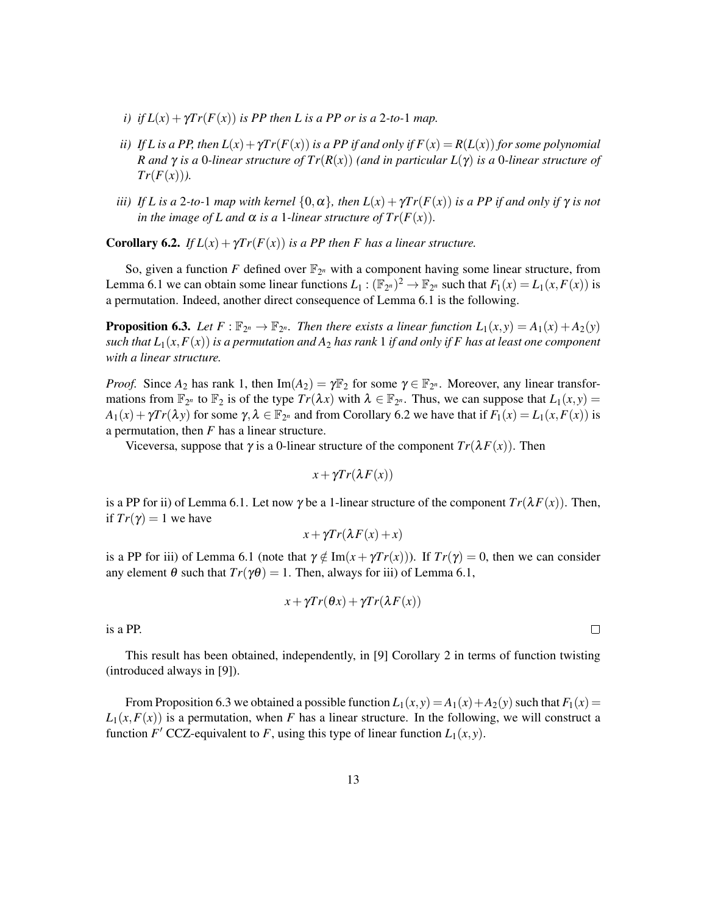- *i) if*  $L(x) + \gamma Tr(F(x))$  *is PP then L is a PP or is a 2-to-1 map.*
- *ii) If L* is a PP, then  $L(x) + \gamma Tr(F(x))$  is a PP if and only if  $F(x) = R(L(x))$  for some polynomial *R and* γ *is a* 0*-linear structure of Tr*(*R*(*x*)) *(and in particular L*(γ) *is a* 0*-linear structure of*  $Tr(F(x))$ .
- *iii) If L* is a 2*-to-*1 *map with kernel*  $\{0, \alpha\}$ *, then*  $L(x) + \gamma Tr(F(x))$  *is a PP if and only if*  $\gamma$  *is not in the image of L and*  $\alpha$  *is a 1-linear structure of*  $Tr(F(x))$ *.*

**Corollary 6.2.** *If*  $L(x) + \gamma Tr(F(x))$  *is a PP then F has a linear structure.* 

So, given a function F defined over  $\mathbb{F}_{2^n}$  with a component having some linear structure, from Lemma 6.1 we can obtain some linear functions  $L_1: (\mathbb{F}_{2^n})^2 \to \mathbb{F}_{2^n}$  such that  $F_1(x) = L_1(x, F(x))$  is a permutation. Indeed, another direct consequence of Lemma 6.1 is the following.

**Proposition 6.3.** Let  $F: \mathbb{F}_{2^n} \to \mathbb{F}_{2^n}$ . Then there exists a linear function  $L_1(x, y) = A_1(x) + A_2(y)$ *such that*  $L_1(x, F(x))$  *is a permutation and*  $A_2$  *has rank* 1 *if and only if* F *has at least one component with a linear structure.*

*Proof.* Since  $A_2$  has rank 1, then  $\text{Im}(A_2) = \gamma \mathbb{F}_2$  for some  $\gamma \in \mathbb{F}_{2^n}$ . Moreover, any linear transformations from  $\mathbb{F}_{2^n}$  to  $\mathbb{F}_2$  is of the type  $Tr(\lambda x)$  with  $\lambda \in \mathbb{F}_{2^n}$ . Thus, we can suppose that  $L_1(x, y) =$  $A_1(x) + \gamma Tr(\lambda y)$  for some  $\gamma, \lambda \in \mathbb{F}_{2^n}$  and from Corollary 6.2 we have that if  $F_1(x) = L_1(x, F(x))$  is a permutation, then *F* has a linear structure.

Viceversa, suppose that  $\gamma$  is a 0-linear structure of the component  $Tr(\lambda F(x))$ . Then

$$
x + \gamma Tr(\lambda F(x))
$$

is a PP for ii) of Lemma 6.1. Let now  $\gamma$  be a 1-linear structure of the component  $Tr(\lambda F(x))$ . Then, if  $Tr(\gamma) = 1$  we have

$$
x + \gamma Tr(\lambda F(x) + x)
$$

is a PP for iii) of Lemma 6.1 (note that  $\gamma \notin \text{Im}(x + \gamma Tr(x))$ ). If  $Tr(\gamma) = 0$ , then we can consider any element  $\theta$  such that  $Tr(\gamma \theta) = 1$ . Then, always for iii) of Lemma 6.1,

$$
x + \gamma Tr(\theta x) + \gamma Tr(\lambda F(x))
$$

is a PP.

This result has been obtained, independently, in [9] Corollary 2 in terms of function twisting (introduced always in [9]).

From Proposition 6.3 we obtained a possible function  $L_1(x, y) = A_1(x) + A_2(y)$  such that  $F_1(x) =$  $L_1(x, F(x))$  is a permutation, when *F* has a linear structure. In the following, we will construct a function *F'* CCZ-equivalent to *F*, using this type of linear function  $L_1(x, y)$ .

 $\Box$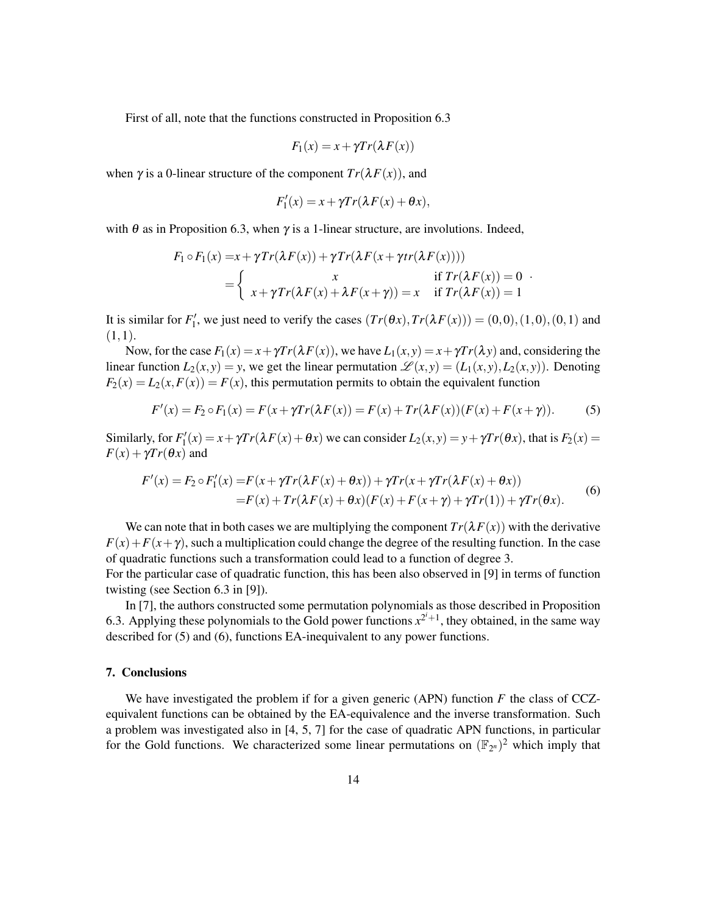First of all, note that the functions constructed in Proposition 6.3

$$
F_1(x) = x + \gamma Tr(\lambda F(x))
$$

when  $\gamma$  is a 0-linear structure of the component  $Tr(\lambda F(x))$ , and

$$
F_1'(x) = x + \gamma Tr(\lambda F(x) + \theta x),
$$

with  $\theta$  as in Proposition 6.3, when  $\gamma$  is a 1-linear structure, are involutions. Indeed,

$$
F_1 \circ F_1(x) = x + \gamma Tr(\lambda F(x)) + \gamma Tr(\lambda F(x + \gamma tr(\lambda F(x))))
$$
  
= 
$$
\begin{cases} x & \text{if } Tr(\lambda F(x)) = 0 \\ x + \gamma Tr(\lambda F(x) + \lambda F(x + \gamma)) = x & \text{if } Tr(\lambda F(x)) = 1 \end{cases}
$$

It is similar for  $F'_1$ , we just need to verify the cases  $(Tr(\theta x), Tr(\lambda F(x))) = (0,0), (1,0), (0,1)$  and  $(1,1).$ 

Now, for the case  $F_1(x) = x + \gamma Tr(\lambda F(x))$ , we have  $L_1(x, y) = x + \gamma Tr(\lambda y)$  and, considering the linear function  $L_2(x, y) = y$ , we get the linear permutation  $\mathcal{L}(x, y) = (L_1(x, y), L_2(x, y))$ . Denoting  $F_2(x) = L_2(x, F(x)) = F(x)$ , this permutation permits to obtain the equivalent function

$$
F'(x) = F_2 \circ F_1(x) = F(x + \gamma Tr(\lambda F(x)) = F(x) + Tr(\lambda F(x))(F(x) + F(x + \gamma)).
$$
 (5)

Similarly, for  $F'_1(x) = x + \gamma Tr(\lambda F(x) + \theta x)$  we can consider  $L_2(x, y) = y + \gamma Tr(\theta x)$ , that is  $F_2(x) =$  $F(x) + \gamma Tr(\theta x)$  and

$$
F'(x) = F_2 \circ F'_1(x) = F(x + \gamma Tr(\lambda F(x) + \theta x)) + \gamma Tr(x + \gamma Tr(\lambda F(x) + \theta x))
$$
  
= F(x) + Tr(\lambda F(x) + \theta x)(F(x) + F(x + \gamma) + \gamma Tr(1)) + \gamma Tr(\theta x). (6)

We can note that in both cases we are multiplying the component  $Tr(\lambda F(x))$  with the derivative  $F(x) + F(x + \gamma)$ , such a multiplication could change the degree of the resulting function. In the case of quadratic functions such a transformation could lead to a function of degree 3. For the particular case of quadratic function, this has been also observed in [9] in terms of function twisting (see Section 6.3 in [9]).

In [7], the authors constructed some permutation polynomials as those described in Proposition 6.3. Applying these polynomials to the Gold power functions  $x^{2^i+1}$ , they obtained, in the same way described for (5) and (6), functions EA-inequivalent to any power functions.

# 7. Conclusions

We have investigated the problem if for a given generic (APN) function *F* the class of CCZequivalent functions can be obtained by the EA-equivalence and the inverse transformation. Such a problem was investigated also in [4, 5, 7] for the case of quadratic APN functions, in particular for the Gold functions. We characterized some linear permutations on  $(\mathbb{F}_{2^n})^2$  which imply that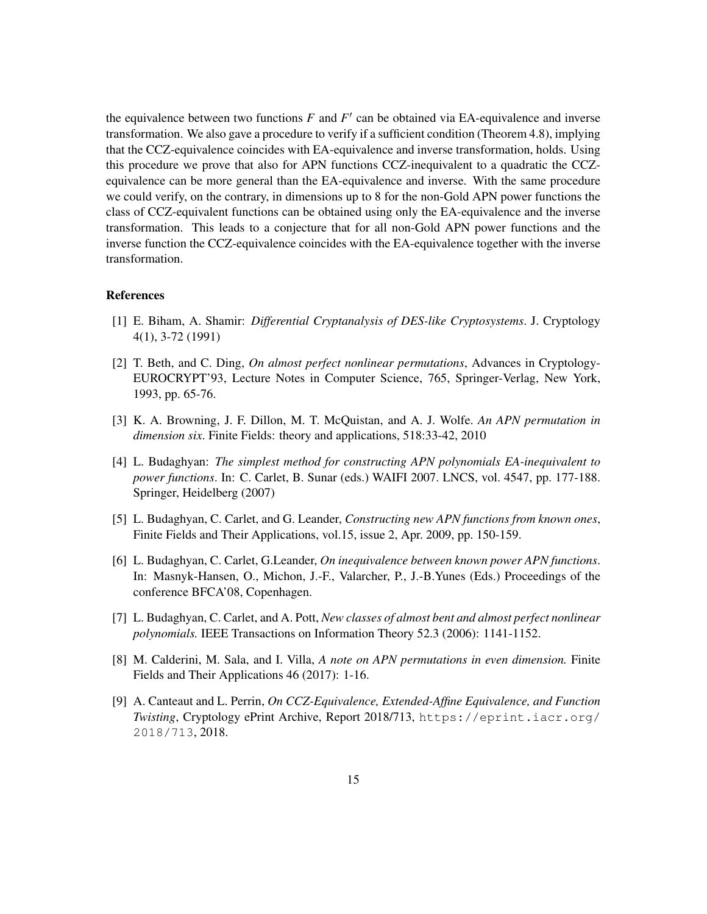the equivalence between two functions  $F$  and  $F'$  can be obtained via EA-equivalence and inverse transformation. We also gave a procedure to verify if a sufficient condition (Theorem 4.8), implying that the CCZ-equivalence coincides with EA-equivalence and inverse transformation, holds. Using this procedure we prove that also for APN functions CCZ-inequivalent to a quadratic the CCZequivalence can be more general than the EA-equivalence and inverse. With the same procedure we could verify, on the contrary, in dimensions up to 8 for the non-Gold APN power functions the class of CCZ-equivalent functions can be obtained using only the EA-equivalence and the inverse transformation. This leads to a conjecture that for all non-Gold APN power functions and the inverse function the CCZ-equivalence coincides with the EA-equivalence together with the inverse transformation.

### References

- [1] E. Biham, A. Shamir: *Differential Cryptanalysis of DES-like Cryptosystems*. J. Cryptology 4(1), 3-72 (1991)
- [2] T. Beth, and C. Ding, *On almost perfect nonlinear permutations*, Advances in Cryptology-EUROCRYPT'93, Lecture Notes in Computer Science, 765, Springer-Verlag, New York, 1993, pp. 65-76.
- [3] K. A. Browning, J. F. Dillon, M. T. McQuistan, and A. J. Wolfe. *An APN permutation in dimension six*. Finite Fields: theory and applications, 518:33-42, 2010
- [4] L. Budaghyan: *The simplest method for constructing APN polynomials EA-inequivalent to power functions*. In: C. Carlet, B. Sunar (eds.) WAIFI 2007. LNCS, vol. 4547, pp. 177-188. Springer, Heidelberg (2007)
- [5] L. Budaghyan, C. Carlet, and G. Leander, *Constructing new APN functions from known ones*, Finite Fields and Their Applications, vol.15, issue 2, Apr. 2009, pp. 150-159.
- [6] L. Budaghyan, C. Carlet, G.Leander, *On inequivalence between known power APN functions*. In: Masnyk-Hansen, O., Michon, J.-F., Valarcher, P., J.-B.Yunes (Eds.) Proceedings of the conference BFCA'08, Copenhagen.
- [7] L. Budaghyan, C. Carlet, and A. Pott, *New classes of almost bent and almost perfect nonlinear polynomials.* IEEE Transactions on Information Theory 52.3 (2006): 1141-1152.
- [8] M. Calderini, M. Sala, and I. Villa, *A note on APN permutations in even dimension.* Finite Fields and Their Applications 46 (2017): 1-16.
- [9] A. Canteaut and L. Perrin, *On CCZ-Equivalence, Extended-Affine Equivalence, and Function Twisting*, Cryptology ePrint Archive, Report 2018/713, https://eprint.iacr.org/ 2018/713, 2018.